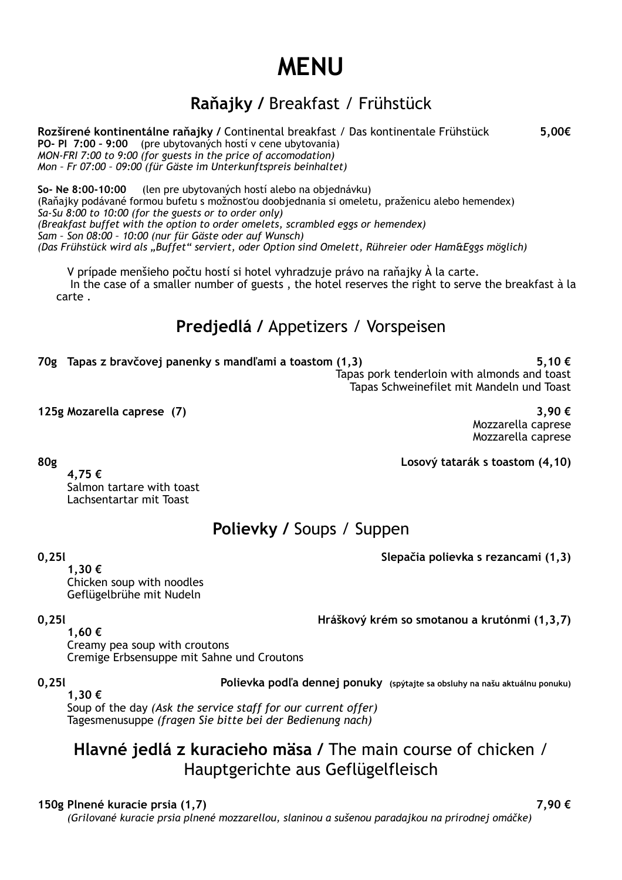# **MENU**

## **Raňajky /** Breakfast / Frühstück

**Rozšírené kontinentálne raňajky /** Continental breakfast / Das kontinentale Frühstück **5,00€ PO- PI 7:00 – 9:00** (pre ubytovaných hostí v cene ubytovania) *MON-FRI 7:00 to 9:00 (for guests in the price of accomodation) Mon – Fr 07:00 – 09:00 (für Gäste im Unterkunftspreis beinhaltet)*

**So- Ne 8:00-10:00** (len pre ubytovaných hostí alebo na objednávku) (Raňajky podávané formou bufetu s možnosťou doobjednania si omeletu, praženicu alebo hemendex) *Sa-Su 8:00 to 10:00 (for the guests or to order only) (Breakfast buffet with the option to order omelets, scrambled eggs or hemendex) Sam – Son 08:00 – 10:00 (nur für Gäste oder auf Wunsch) (Das Frühstück wird als "Buffet" serviert, oder Option sind Omelett, Rühreier oder Ham&Eggs möglich)*

V prípade menšieho počtu hostí si hotel vyhradzuje právo na raňajky À la carte. In the case of a smaller number of guests , the hotel reserves the right to serve the breakfast à la carte .

## **Predjedlá /** Appetizers / Vorspeisen

**70g Tapas z bravčovej panenky s mandľami a toastom (1,3) 5,10 €**

 Tapas pork tenderloin with almonds and toast Tapas Schweinefilet mit Mandeln und Toast

**125g Mozarella caprese (7) 3,90 €**

 Mozzarella caprese Mozzarella caprese

**80g Losový tatarák s toastom (4,10)**

 **4,75 €**

 Salmon tartare with toast Lachsentartar mit Toast

## **Polievky /** Soups / Suppen

**0,25l Slepačia polievka s rezancami (1,3)**

 **1,30 €** Chicken soup with noodles Geflügelbrühe mit Nudeln

**0,25l Hráškový krém so smotanou a krutónmi (1,3,7)**

 **1,60 €** Creamy pea soup with croutons Cremige Erbsensuppe mit Sahne und Croutons

**0,25l Polievka podľa dennej ponuky (spýtajte sa obsluhy na našu aktuálnu ponuku)**

**1,30 €** Soup of the day *(Ask the service staff for our current offer)* Tagesmenusuppe *(fragen Sie bitte bei der Bedienung nach)*

## **Hlavné jedlá z kuracieho mäsa /** The main course of chicken / Hauptgerichte aus Geflügelfleisch

#### **150g Plnené kuracie prsia (1,7) 7,90 €**

*(Grilované kuracie prsia plnené mozzarellou, slaninou a sušenou paradajkou na prírodnej omáčke)*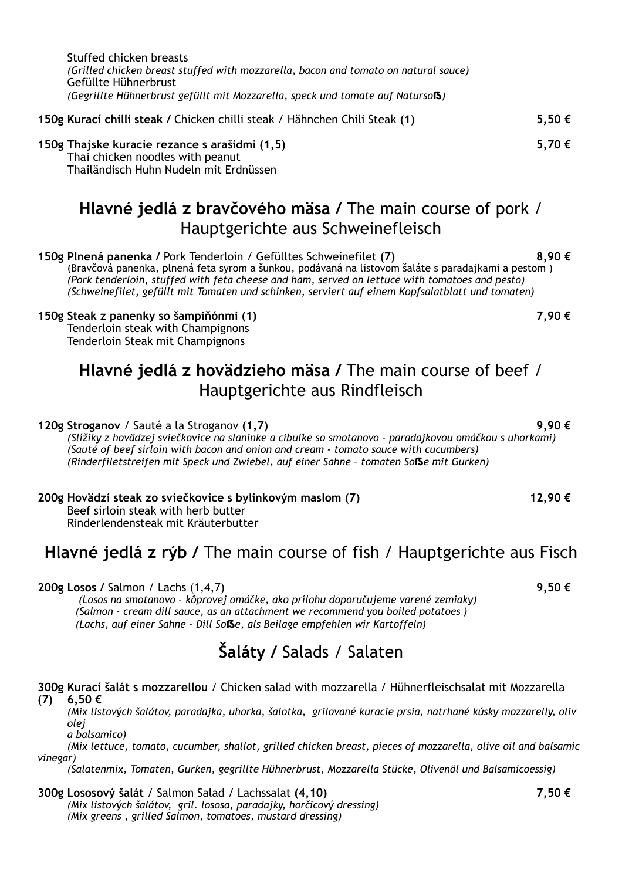| Stuffed chicken breasts                                                             |
|-------------------------------------------------------------------------------------|
| (Grilled chicken breast stuffed with mozzarella, bacon and tomato on natural sauce) |
| Gefüllte Hühnerbrust                                                                |
| (Gegrillte Hühnerbrust gefüllt mit Mozzarella, speck und tomate auf Natursols)      |
|                                                                                     |

| 150g Kurací chilli steak / Chicken chilli steak / Hähnchen Chili Steak (1) |  | 5,50€ |
|----------------------------------------------------------------------------|--|-------|
|                                                                            |  |       |

**150g Thajske kuracie rezance s arašidmi (1,5) 5,70 €** Thai chicken noodles with peanut Thailändisch Huhn Nudeln mit Erdnüssen

## **Hlavné jedlá z bravčového mäsa /** The main course of pork / Hauptgerichte aus Schweinefleisch

**150g Plnená panenka /** Pork Tenderloin / Gefülltes Schweinefilet **(7) 8,90 €** (Bravčová panenka, plnená feta syrom a šunkou, podávaná na listovom šaláte s paradajkami a pestom )  *(Pork tenderloin, stuffed with feta cheese and ham, served on lettuce with tomatoes and pesto) (Schweinefilet, gefüllt mit Tomaten und schinken, serviert auf einem Kopfsalatblatt und tomaten)*

#### **150g Steak z panenky so šampiňónmi (1) 7,90 €**

 Tenderloin steak with Champignons Tenderloin Steak mit Champignons

## **Hlavné jedlá z hovädzieho mäsa /** The main course of beef / Hauptgerichte aus Rindfleisch

**120g Stroganov** / Sauté a la Stroganov **(1,7) 9,90 €**

 *(Slížiky z hovädzej sviečkovice na slaninke a cibuľke so smotanovo - paradajkovou omáčkou s uhorkami) (Sauté of beef sirloin with bacon and onion and cream - tomato sauce with cucumbers) (Rinderfiletstreifen mit Speck und Zwiebel, auf einer Sahne – tomaten So*ẞ*e mit Gurken)*

**200g Hovädzí steak zo sviečkovice s bylinkovým maslom (7) 12,90 €** Beef sirloin steak with herb butter

Rinderlendensteak mit Kräuterbutter

### **Hlavné jedlá z rýb /** The main course of fish / Hauptgerichte aus Fisch

**200g Losos /** Salmon / Lachs (1,4,7) **9,50 €**

 *(Losos na smotanovo - kôprovej omáčke, ako prílohu doporučujeme varené zemiaky) (Salmon - cream dill sauce, as an attachment we recommend you boiled potatoes ) (Lachs, auf einer Sahne – Dill So*ẞ*e, als Beilage empfehlen wir Kartoffeln)*

## **Šaláty /** Salads / Salaten

#### **300g Kurací šalát s mozzarellou** / Chicken salad with mozzarella / Hühnerfleischsalat mit Mozzarella **(7) 6,50 €**

*(Mix listových šalátov, paradajka, uhorka, šalotka, grilované kuracie prsia, natrhané kúsky mozzarelly, oliv olej* 

*a balsamico)*

 *(Mix lettuce, tomato, cucumber, shallot, grilled chicken breast, pieces of mozzarella, olive oil and balsamic vinegar)*

 *(Salatenmix, Tomaten, Gurken, gegrillte Hühnerbrust, Mozzarella Stücke, Olivenöl und Balsamicoessig)*

#### **300g Lososový šalát** / Salmon Salad / Lachssalat **(4,10) 7,50 €**  *(Mix listových šalátov, gril. lososa, paradajky, horčicový dressing) (Mix greens , grilled Salmon, tomatoes, mustard dressing)*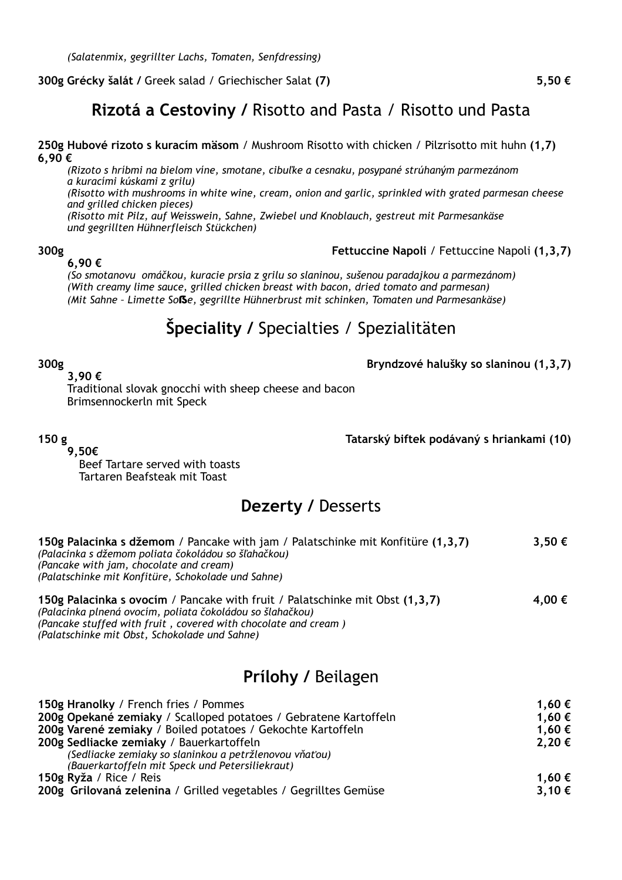#### **300g Grécky šalát /** Greek salad / Griechischer Salat **(7) 5,50 €**

### **Rizotá a Cestoviny /** Risotto and Pasta / Risotto und Pasta

**250g Hubové rizoto s kuracím mäsom** / Mushroom Risotto with chicken / Pilzrisotto mit huhn **(1,7) 6,90 €**

*(Rizoto s hríbmi na bielom víne, smotane, cibuľke a cesnaku, posypané strúhaným parmezánom a kuracími kúskami z grilu)*

*(Risotto with mushrooms in white wine, cream, onion and garlic, sprinkled with grated parmesan cheese and grilled chicken pieces)*

 *(Risotto mit Pilz, auf Weisswein, Sahne, Zwiebel und Knoblauch, gestreut mit Parmesankäse und gegrillten Hühnerfleisch Stückchen)*

#### **6,90 €**

**300g Fettuccine Napoli** / Fettuccine Napoli **(1,3,7)**

 *(So smotanovu omáčkou, kuracie prsia z grilu so slaninou, sušenou paradajkou a parmezánom) (With creamy lime sauce, grilled chicken breast with bacon, dried tomato and parmesan) (Mit Sahne – Limette So*ẞ*e, gegrillte Hühnerbrust mit schinken, Tomaten und Parmesankäse)*

## **Špeciality /** Specialties / Spezialitäten

**300g Bryndzové halušky so slaninou (1,3,7)**

 **3,90 €**

 Traditional slovak gnocchi with sheep cheese and bacon Brimsennockerln mit Speck

**150 g Tatarský biftek podávaný s hriankami (10)**

 **9,50€**

 Beef Tartare served with toasts Tartaren Beafsteak mit Toast

#### **Dezerty /** Desserts

| 150g Palacinka s džemom / Pancake with jam / Palatschinke mit Konfitüre (1,3,7)<br>(Palacinka s džemom poliata čokoládou so šľahačkou)<br>(Pancake with jam, chocolate and cream)<br>(Palatschinke mit Konfitüre, Schokolade und Sahne) |        |  |
|-----------------------------------------------------------------------------------------------------------------------------------------------------------------------------------------------------------------------------------------|--------|--|
| 150g Palacinka s ovocím / Pancake with fruit / Palatschinke mit Obst (1,3,7)<br>(Palacinka plnená ovocím, poliata čokoládou so šlahačkou)<br>(Pancake stuffed with fruit, covered with chocolate and cream)                             | 4,00 € |  |

*(Palatschinke mit Obst, Schokolade und Sahne)*

## **Prílohy /** Beilagen

| 150g Hranolky / French fries / Pommes                            | 1,60 € |
|------------------------------------------------------------------|--------|
| 200g Opekané zemiaky / Scalloped potatoes / Gebratene Kartoffeln | 1,60 € |
| 200g Varené zemiaky / Boiled potatoes / Gekochte Kartoffeln      | 1,60 € |
| 200g Sedliacke zemiaky / Bauerkartoffeln                         | 2,20€  |
| (Sedliacke zemiaky so slaninkou a petržlenovou vňaťou)           |        |
| (Bauerkartoffeln mit Speck und Petersiliekraut)                  |        |
| 150g Ryža / Rice / Reis                                          | 1,60 € |
| 200g Grilovaná zelenina / Grilled vegetables / Gegrilltes Gemüse | 3,10€  |